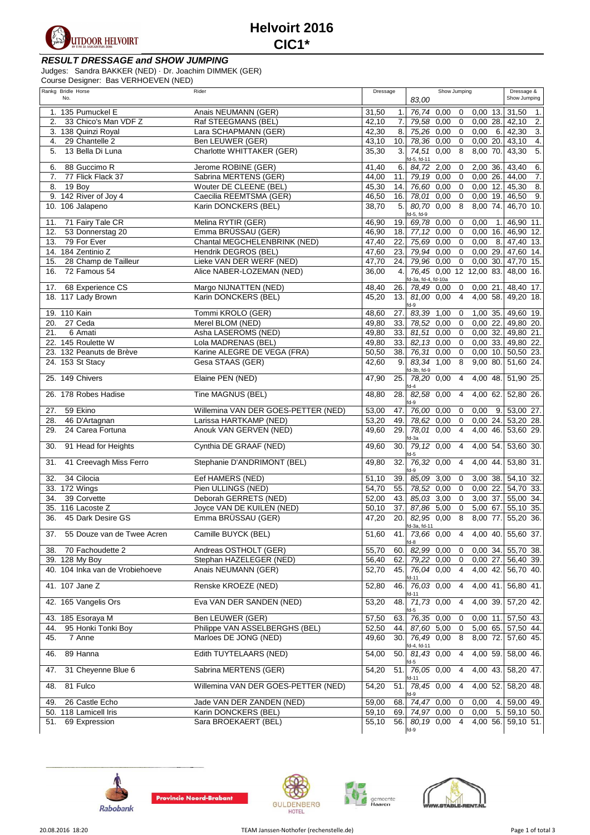

## **RESULT DRESSAGE and SHOW JUMPING**

Judges: Sandra BAKKER (NED) · Dr. Joachim DIMMEK (GER)

Course Designer: Bas VERHOEVEN (NED)

| Rankg Bridle Horse                | Rider                               | Dressage                  | Show Jumping                                               | Dressage &                |
|-----------------------------------|-------------------------------------|---------------------------|------------------------------------------------------------|---------------------------|
| No.                               |                                     |                           | 83,00                                                      | Show Jumping              |
| 1. 135 Pumuckel E                 | Anais NEUMANN (GER)                 | 31,50<br>1.               | 76,74 0,00 0<br>$0,00$ 13. 31,50                           | $\overline{1}$ .          |
| 33 Chico's Man VDF Z<br>2.        | Raf STEEGMANS (BEL)                 | 42,10<br>7.               | 0,00<br>0,00 28. 42,10<br>79.58<br>$\overline{0}$          | 2.                        |
| 3. 138 Quinzi Royal               | Lara SCHAPMANN (GER)                | 42,30<br>8.               | 75,26 0,00<br>0,00<br>6.<br>$\overline{0}$                 | $\overline{3}$ .<br>42,30 |
| 29 Chantelle 2<br>4.              | Ben LEUWER (GER)                    | 43,10<br>10.              | 78,36 0,00<br>$\mathbf 0$<br>0,00 20.                      | $\overline{4}$ .<br>43,10 |
| 13 Bella Di Luna<br>5.            | Charlotte WHITTAKER (GER)           | 35,30<br>3.               | 74,51 0,00<br>8<br>8,00 70.                                | 5.<br>43,30               |
| 88 Guccimo R<br>6.                | Jerome ROBINE (GER)                 | 41,40<br>6.               | d-5, fd-11<br>84,72<br>2,00<br>$2,00$ 36.<br>$\mathbf 0$   | 43,40<br>6.               |
| 77 Flick Flack 37<br>7.           | Sabrina MERTENS (GER)               | 44,00<br>11.              | 79,19 0,00<br>$\mathbf 0$<br>0,0026                        | 44,00<br>$\overline{7}$ . |
| 19 Boy<br>8.                      | Wouter DE CLEENE (BEL)              | 45,30<br>14.              | 76,60 0,00<br>$\overline{0}$<br>$0,00$ 12.                 | $\overline{8}$ .<br>45,30 |
| 9. 142 River of Joy 4             | Caecilia REEMTSMA (GER)             | 46,50<br>16.              | 78,01<br>0,00<br>$\overline{0}$<br>$0,00$ 19.              | 9.<br>46,50               |
| 10. 106 Jalapeno                  | Karin DONCKERS (BEL)                | 38,70<br>$\overline{5}$   | 80,70 0,00<br>$\overline{8}$<br>8,00 74.                   | 46,70 10.                 |
|                                   |                                     |                           | d-5, fd-9                                                  |                           |
| 71 Fairy Tale CR<br>11.           | Melina RYTIR (GER)                  | 46,90<br>19.              | 69,78 0,00<br>$\mathbf 0$<br>0,00<br>-1                    | 46,90 11.                 |
| 53 Donnerstag 20<br>12.           | Emma BRÜSSAU (GER)                  | 46,90<br>18.              | 77, 12<br>0,00<br>$\mathbf 0$<br>$0,00$ 16.                | 46,90 12.                 |
| 13.<br>79 For Ever                | Chantal MEGCHELENBRINK (NED)        | 47,40<br>22.              | 75,69<br>0,00<br>$\mathbf 0$<br>0,00<br>8.                 | 47,40 13.                 |
| 14. 184 Zentinio Z                | Hendrik DEGROS (BEL)                | 47,60<br>23.              | $79,94$ 0,00<br>$\mathbf 0$<br>0,00 29.                    | 47,60 14.                 |
| 28 Champ de Tailleur<br>15.       | Lieke VAN DER WERF (NED)            | $\overline{47,70}$<br>24. | $79,96$ 0,00<br>$\mathsf 0$                                | 0,00 30. 47,70 15.        |
| 72 Famous 54<br>16.               | Alice NABER-LOZEMAN (NED)           | 36,00<br>4.               | 76,45 0,00 12 12,00 83.                                    | 48,00 16.                 |
| 68 Experience CS<br>17.           | Margo NIJNATTEN (NED)               | 48,40<br>26.              | fd-3a, fd-4, fd-10a<br>$\mathbf 0$<br>78,49 0.00<br>0,0021 | 48,40 17.                 |
| 18. 117 Lady Brown                | Karin DONCKERS (BEL)                | 45,20<br>13.              | 81,00 0,00<br>$\overline{4}$<br>4,00 58.                   | 49,20 18.                 |
|                                   |                                     |                           | $d-9$                                                      |                           |
| 19. 110 Kain                      | Tommi KROLO (GER)                   | 48,60<br>27.              | 83,39<br>1,00<br>$\mathbf 0$<br>1,00 35.                   | 49,60 19                  |
| 20. 27 Ceda                       | Merel BLOM (NED)                    | 33.<br>49,80              | 78,52 0,00<br>$\overline{\mathbf{0}}$<br>0,00 22.          | 49,80 20.                 |
| 6 Amati<br>21.                    | Asha LASEROMS (NED)                 | 49,80<br>33.              | 81,51 0,00<br>$\overline{\mathbf{0}}$<br>0,00 32.          | 49,80 21.                 |
| 22. 145 Roulette W                | Lola MADRENAS (BEL)                 | 49,80<br>33.              | $82,13$ 0,00<br>$\overline{0}$<br>$0.00$ 33.               | 49,80 22.                 |
| 23. 132 Peanuts de Brève          | Karine ALEGRE DE VEGA (FRA)         | 38.<br>50,50              | $76,31$ 0,00<br>$\mathbf 0$<br>$0,00$ 10.                  | 50,50 23.                 |
| 24. 153 St Stacy                  | Gesa STAAS (GER)                    | 42,60<br>9.               | 83.34 1.00<br>8<br>9,0080                                  | 51,60 24.                 |
| 25. 149 Chivers                   | Elaine PEN (NED)                    | 47,90<br>25.              | d-3b, fd-9<br>78,20 0,00<br>4,00 48.<br>$\overline{4}$     | 51,90 25.                 |
|                                   |                                     |                           | fd-4                                                       |                           |
| 26. 178 Robes Hadise              | Tine MAGNUS (BEL)                   | 28.<br>48,80              | 82,58 0,00<br>$\overline{4}$<br>4,00 62.<br>$fd-9$         | 52,80 26.                 |
| 59 Ekino<br>27.                   | Willemina VAN DER GOES-PETTER (NED) | 53,00<br>47.              | 76,00 0,00<br>0,00<br>$\mathbf 0$<br>9.                    | 53,00 27.                 |
| 28.<br>46 D'Artagnan              | Larissa HARTKAMP (NED)              | 53,20<br>49.              | 78,62 0,00<br>$\mathbf 0$<br>0,00 24.                      | 53,20 28.                 |
| 24 Carea Fortuna<br>29.           | Anouk VAN GERVEN (NED)              | 49,60<br>29.              | 78,01 0,00<br>$\overline{4}$<br>4,00 46.                   | 53,60 29.                 |
| 91 Head for Heights<br>30.        | Cynthia DE GRAAF (NED)              | 49,60<br>30.              | fd-3a<br>79,12 0,00<br>4,00,54.<br>$\overline{4}$<br>d-5   | 53,60 30.                 |
| 41 Creevagh Miss Ferro<br>31.     | Stephanie D'ANDRIMONT (BEL)         | 49,80<br>32.              | 76,32 0,00<br>$\overline{4}$<br>4,00 44.<br>$d-9$          | 53,80 31.                 |
| 34 Cilocia<br>32.                 | Eef HAMERS (NED)                    | 51,10<br>39.              | 85,09 3,00<br>0<br>3,00 38.                                | $54,10$ 32.               |
| 33. 172 Wings                     | Pien ULLINGS (NED)                  | 54,70<br>55.              | 78,52 0,00<br>0,0022.<br>$\mathbf 0$                       | 54,70 33.                 |
| 39 Corvette<br>34.                | Deborah GERRETS (NED)               | 52,00<br>43.              | 85,03 3,00<br>3,00 37.<br>$\overline{0}$                   | 55,00 34.                 |
| 35. 116 Lacoste Z                 | Joyce VAN DE KUILEN (NED)           | 50,10<br>37.              | 87,86 5,00<br>$\overline{0}$<br>5,00 67.                   | 55,10 35.                 |
| 45 Dark Desire GS<br>36.          | Emma BRÜSSAU (GER)                  | 47,20<br>20.              | 82,95 0,00 8<br>8,00 77.                                   | 55,20 36.                 |
| 55 Douze van de Twee Acren<br>37. | Camille BUYCK (BEL)                 | 51,60<br>41.1             | fd-3a, fd-11<br>73,66 0,00 4 4,00 40 55,60 37.             |                           |
|                                   |                                     |                           | d-8                                                        |                           |
| 70 Fachoudette 2<br>38.           | Andreas OSTHOLT (GER)               | 55,70<br>60.              | 82,99 0,00<br>0,00 34.<br>0                                | 55,70 38.                 |
| 39. 128 My Boy                    | Stephan HAZELEGER (NED)             | 56,40<br>62.              | 79,22 0,00<br>0,0027.<br>$\mathbf 0$                       | 56,40 39.                 |
| 40. 104 Inka van de Vrobiehoeve   | Anais NEUMANN (GER)                 | 52,70<br>45.              | 4,00 42.<br>76,04 0,00<br>4<br>d-11                        | 56,70 40.                 |
| 41. 107 Jane Z                    | Renske KROEZE (NED)                 | 52,80<br>46.              | 76,03 0,00<br>4,00 41.<br>$\overline{4}$<br>fd-11          | 56,80 41.                 |
| 42. 165 Vangelis Ors              | Eva VAN DER SANDEN (NED)            | 53,20<br>48.              | 71,73 0,00<br>4,00 39.<br>$\overline{4}$<br>d-5            | 57,20 42.                 |
| 185 Esoraya M<br>43.              | Ben LEUWER (GER)                    | $\frac{1}{57,50}$<br>63.  | 76,35 0,00<br>$0,00$ 11<br>$\mathbf 0$                     | $\overline{57,50}$ 43.    |
| 95 Honki Tonki Boy<br>44.         | Philippe VAN ASSELBERGHS (BEL)      | 52,50<br>44.              | 87,60 5,00<br>5,00 65.<br>0                                | 57,50 44.                 |
| 45.<br>7 Anne                     | Marloes DE JONG (NED)               | 30.<br>49,60              | 76,49 0,00<br>$8,00$ 72.<br>8                              | 57,60 45.                 |
| 89 Hanna<br>46.                   | Edith TUYTELAARS (NED)              | 54,00<br>50.              | fd-4, fd-11<br>$81,43$ 0,00<br>4,00 59.<br>$\overline{4}$  | 58,00 46.                 |
| 31 Cheyenne Blue 6<br>47.         | Sabrina MERTENS (GER)               | 54,20<br>51.              | d-5<br>76,05 0,00<br>4,00 43.<br>$\overline{4}$            | 58,20 47.                 |
| 81 Fulco<br>48.                   | Willemina VAN DER GOES-PETTER (NED) | 54,20<br>51.              | id-11<br>78,45 0,00<br>$4,00$ 52.<br>$\overline{4}$        | 58,20 48.                 |
| 26 Castle Echo<br>49.             | Jade VAN DER ZANDEN (NED)           | 59,00<br>68.              | $d-9$<br>74,47 0,00<br>0,00<br>0<br>4.                     | 59,00 49.                 |
| 50. 118 Lamicell Iris             | Karin DONCKERS (BEL)                | 59,10<br>69.              | 74,97<br>0,00<br>0,00<br>5.<br>0                           | $\overline{59}$ , 10 50.  |
| 69 Expression<br>51.              | Sara BROEKAERT (BEL)                | 55,10<br>56.I             | 80,19 0,00<br>$\overline{4}$                               | 4,00 56. 59,10 51.        |
|                                   |                                     |                           | $fd-9$                                                     |                           |









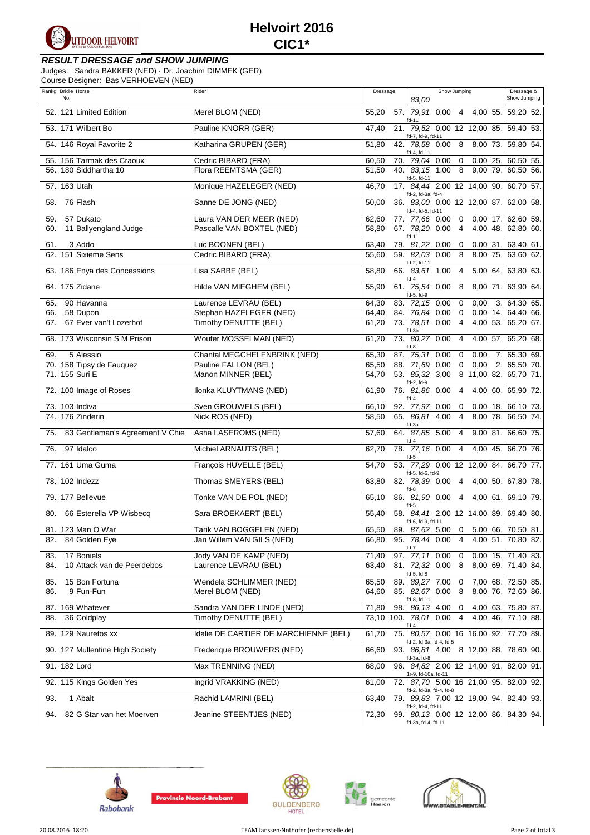

## **RESULT DRESSAGE and SHOW JUMPING**

Judges: Sandra BAKKER (NED) · Dr. Joachim DIMMEK (GER)

Course Designer: Bas VERHOEVEN (NED)

| Rankg Bridle Horse                     | Rider                                 | Dressage                 | Show Jumping                                                     | Dressage &           |
|----------------------------------------|---------------------------------------|--------------------------|------------------------------------------------------------------|----------------------|
| No.                                    |                                       |                          | 83,00                                                            | Show Jumping         |
| 52. 121 Limited Edition                | Merel BLOM (NED)                      | 55,20<br>57.             | 79,91 0,00 4 4,00 55.<br>d-11                                    | 59,20 52.            |
| 53. 171 Wilbert Bo                     | Pauline KNORR (GER)                   | $\frac{47,40}{ }$<br>21. | 79,52 0,00 12 12,00 85. 59,40 53.<br>fd-7, fd-9, fd-11           |                      |
| 54. 146 Royal Favorite 2               | Katharina GRUPEN (GER)                | 51,80<br>42.             | 78,58 0,00 8 8,00 73.<br>d-4, fd-11                              | 59,80 54.            |
| 55. 156 Tarmak des Craoux              | Cedric BIBARD (FRA)                   | 60,50<br>70.             | 79,04 0,00<br>0,0025<br>$\mathbf 0$                              | 60,50 55.            |
| 56. 180 Siddhartha 10                  | Flora REEMTSMA (GER)                  | $\frac{1}{51,50}$<br>40. | 9,00 79.<br>83,15 1,00<br>8<br>d-5, fd-11                        | 60,50 56.            |
| 57. 163 Utah                           | Monique HAZELEGER (NED)               | 46,70<br>17.             | 84,44 2,00 12 14,00 90.<br>fd-2, fd-3a, fd-4                     | 60,70 57.            |
| 76 Flash<br>58.                        | Sanne DE JONG (NED)                   | 50,00<br>36.             | 83,00 0,00 12 12,00 87.<br>d-4, fd-5, fd-11                      | 62,00 58.            |
| 57 Dukato<br>59.                       | Laura VAN DER MEER (NED)              | 62,60<br>77.             | 77,66 0,00<br>$\mathbf 0$<br>$0,00$ 17.                          | 62,60 59.            |
| 11 Ballyengland Judge<br>60.           | Pascalle VAN BOXTEL (NED)             | 67.<br>58.80             | 78,20 0,00<br>$\overline{4}$<br>4,00 48.<br>$fd-11$              | 62,80 60.            |
| 3 Addo<br>61.                          | Luc BOONEN (BEL)                      | 63,40<br>79.             | 81,22 0,00<br>$\overline{0}$<br>0,0031.                          | 63,40 61.            |
| 62. 151 Sixieme Sens                   | Cedric BIBARD (FRA)                   | 55,60<br>59.             | $\overline{8}$<br>82,03 0,00<br>8,00 75.<br>d-2, fd-11           | 63,60 62.            |
| 63. 186 Enya des Concessions           | Lisa SABBE (BEL)                      | 58,80<br>66.             | 83,61 1,00<br>5,00 64.<br>$\overline{4}$<br>id-4                 | 63,80 63.            |
| 64. 175 Zidane                         | Hilde VAN MIEGHEM (BEL)               | 55,90<br>61.             | 75,54 0.00<br>8<br>8,00 71.<br>d-5, fd-9                         | 63,90 64.            |
| 90 Havanna<br>65.                      | Laurence LEVRAU (BEL)                 | 64,30<br>83.             | 72,15 0,00<br>$\overline{0}$<br>0,00<br>3.                       | 64,30 65.            |
| 66.<br>58 Dupon                        | Stephan HAZELEGER (NED)               | 64,40<br>84.             | $0,00$ 14.<br>76,84 0,00<br>$\overline{0}$                       | 64,40 66.            |
| 67 Ever van't Lozerhof<br>67.          | Timothy DENUTTE (BEL)                 | 73.<br>61,20             | 78,51 0,00<br>4<br>d-3b                                          | 4,00 53. 65,20 67.   |
| 68. 173 Wisconsin S M Prison           | Wouter MOSSELMAN (NED)                | 73.<br>61,20             | 80,27 0,00<br>4,00 57.<br>4<br>$d-8$                             | 65,20 68.            |
| 5 Alessio<br>69.                       | Chantal MEGCHELENBRINK (NED)          | 65,30<br>87.             | 75,31 0,00<br>0,00<br>0<br>7.                                    | 65,30 69.            |
| 70. 158 Tipsy de Fauquez               | Pauline FALLON (BEL)                  | 88.<br>65,50             | 71,69 0,00<br>$\mathbf 0$<br>0,00<br>2.                          | 65,50 70.            |
| 71. 155 Suri E                         | Manon MINNER (BEL)                    | 54,70<br>53.             | 85,32 3,00<br>8 11,00 82.<br>d-2, fd-9                           | 65,70 71.            |
| 72. 100 Image of Roses                 | Ilonka KLUYTMANS (NED)                | 61,90<br>76.             | 81,86 0,00<br>$4,00$ 60.<br>$\overline{4}$                       | 65,90 72.            |
| 73. 103 Indiva                         | Sven GROUWELS (BEL)                   | 66,10<br>92.             | 77,97 0,00<br>0<br>$0,00$ 18.                                    | 66,10 73.            |
| 74. 176 Zinderin                       | Nick ROS (NED)                        | 58,50<br>65.             | $\overline{4}$<br>86,81 4,00<br>8,00 78.<br>d-3a                 | 66,50 74.            |
| 83 Gentleman's Agreement V Chie<br>75. | Asha LASEROMS (NED)                   | 57,60<br>64.             | 87,85 5,00<br>9,00 81.<br>$\overline{4}$                         | 66,60 75.            |
| 97 Idalco<br>76.                       | Michiel ARNAUTS (BEL)                 | 62,70<br>78.             | 77,16 0,00<br>$\overline{4}$<br>4,00 45.<br>$d-5$                | 66,70 76.            |
| 77. 161 Uma Guma                       | François HUVELLE (BEL)                | 54,70<br>53.             | 77,29 0,00 12 12,00 84.<br>d-5, fd-6, fd-9                       | 66,70 77.            |
| 78. 102 Indezz                         | Thomas SMEYERS (BEL)                  | 63,80<br>82.             | 78,39 0,00<br>$\overline{4}$<br>4,00 50.<br>$d-8$                | 67,80 78.            |
| 79. 177 Bellevue                       | Tonke VAN DE POL (NED)                | 65,10<br>86.             | 81,90 0,00 4 4,00 61.                                            | 69,10 79.            |
| 66 Esterella VP Wisbecq<br>80.         | Sara BROEKAERT (BEL)                  | 55,40<br>58.             | 84,41 2,00 12 14,00 89. 69,40 80.<br>fd-6, fd-9, fd-11           |                      |
| 81. 123 Man O War                      | Tarik VAN BOGGELEN (NED)              | 65,50                    | 89. 87,62 5,00 0 5,00 66. 70,50 81.                              |                      |
| 82. 84 Golden Eye                      | Jan Willem VAN GILS (NED)             | 66,80<br>95.1            | 78,44 0,00 4 4,00 51. 70,80 82.<br>d-7                           |                      |
| 17 Boniels<br>83.                      | Jody VAN DE KAMP (NED)                | 71,40<br>97.             | 77,11 0,00<br>$\mathbf 0$                                        | $0,00$ 15. 71,40 83. |
| 10 Attack van de Peerdebos<br>84.      | Laurence LEVRAU (BEL)                 | 63,40<br>81.             | 72,32 0,00<br>8<br>d-5, fd-8                                     | 8,00 69. 71,40 84.   |
| 85.<br>15 Bon Fortuna                  | Wendela SCHLIMMER (NED)               | 65,50<br>89.             | 89,27 7,00<br>0 7,00 68. 72,50 85.                               |                      |
| 86.<br>9 Fun-Fun                       | Merel BLOM (NED)                      | 64,60<br>85.             | 82,67 0,00<br>8<br>d-8, fd-11                                    | 8,00 76. 72,60 86.   |
| 87. 169 Whatever                       | Sandra VAN DER LINDE (NED)            | 71,80<br>98.             | 86,13 4,00<br>$0$ 4,00 63.                                       | 75,80 87.            |
| 88. 36 Coldplay                        | Timothy DENUTTE (BEL)                 |                          | 73,10 100. 78,01 0,00 4 4,00 46. 77,10 88.                       |                      |
| 89. 129 Nauretos xx                    | Idalie DE CARTIER DE MARCHIENNE (BEL) | 61.70<br>75.             | 80,57 0,00 16 16,00 92. 77,70 89.<br>id-2, fd-3a, fd-4, fd-5     |                      |
| 90. 127 Mullentine High Society        | Frederique BROUWERS (NED)             | 66,60<br>93.             | 86,81 4,00 8 12,00 88. 78,60 90.<br>d-3a, fd-8                   |                      |
| 91. 182 Lord                           | Max TRENNING (NED)                    | 68,00<br>96.             | 84,82 2,00 12 14,00 91. 82,00 91.<br>1r-9, fd-10a, fd-11         |                      |
| 92. 115 Kings Golden Yes               | Ingrid VRAKKING (NED)                 | 61,00                    | 72. 87,70 5,00 16 21,00 95. 82,00 92.<br>fd-2, fd-3a, fd-4, fd-8 |                      |
| 1 Abalt<br>93.                         | Rachid LAMRINI (BEL)                  | 63,40<br>79.             | 89,83 7,00 12 19,00 94.<br>d-2, fd-4, fd-11                      | 82,40 93.            |
| 94.<br>82 G Star van het Moerven       | Jeanine STEENTJES (NED)               | 72,30<br>99.1            | 80,13 0,00 12 12,00 86. 84,30 94.<br>fd-3a, fd-4, fd-11          |                      |